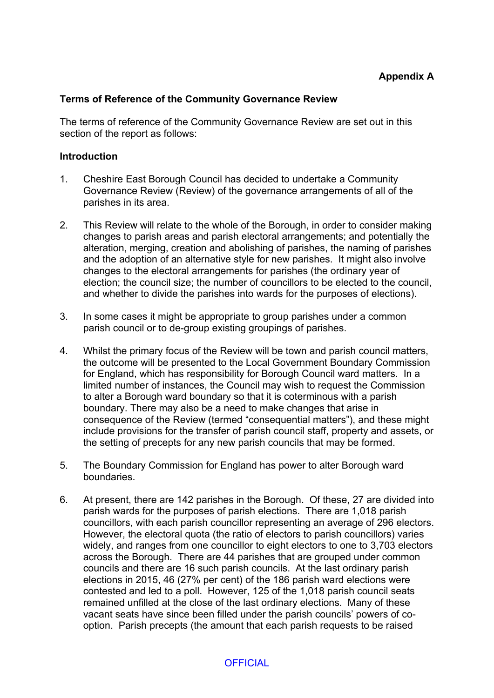#### **Terms of Reference of the Community Governance Review**

The terms of reference of the Community Governance Review are set out in this section of the report as follows:

#### **Introduction**

- 1. Cheshire East Borough Council has decided to undertake a Community Governance Review (Review) of the governance arrangements of all of the parishes in its area.
- 2. This Review will relate to the whole of the Borough, in order to consider making changes to parish areas and parish electoral arrangements; and potentially the alteration, merging, creation and abolishing of parishes, the naming of parishes and the adoption of an alternative style for new parishes. It might also involve changes to the electoral arrangements for parishes (the ordinary year of election; the council size; the number of councillors to be elected to the council, and whether to divide the parishes into wards for the purposes of elections).
- 3. In some cases it might be appropriate to group parishes under a common parish council or to de-group existing groupings of parishes.
- 4. Whilst the primary focus of the Review will be town and parish council matters, the outcome will be presented to the Local Government Boundary Commission for England, which has responsibility for Borough Council ward matters. In a limited number of instances, the Council may wish to request the Commission to alter a Borough ward boundary so that it is coterminous with a parish boundary. There may also be a need to make changes that arise in consequence of the Review (termed "consequential matters"), and these might include provisions for the transfer of parish council staff, property and assets, or the setting of precepts for any new parish councils that may be formed.
- 5. The Boundary Commission for England has power to alter Borough ward boundaries.
- 6. At present, there are 142 parishes in the Borough. Of these, 27 are divided into parish wards for the purposes of parish elections. There are 1,018 parish councillors, with each parish councillor representing an average of 296 electors. However, the electoral quota (the ratio of electors to parish councillors) varies widely, and ranges from one councillor to eight electors to one to 3,703 electors across the Borough. There are 44 parishes that are grouped under common councils and there are 16 such parish councils. At the last ordinary parish elections in 2015, 46 (27% per cent) of the 186 parish ward elections were contested and led to a poll. However, 125 of the 1,018 parish council seats remained unfilled at the close of the last ordinary elections. Many of these vacant seats have since been filled under the parish councils' powers of cooption. Parish precepts (the amount that each parish requests to be raised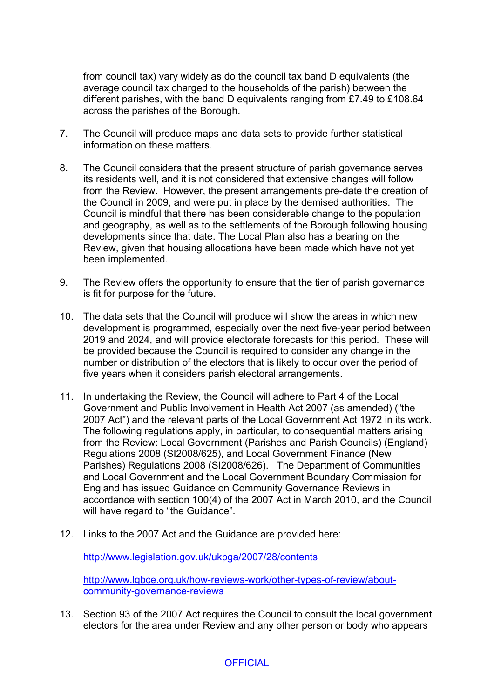from council tax) vary widely as do the council tax band D equivalents (the average council tax charged to the households of the parish) between the different parishes, with the band D equivalents ranging from £7.49 to £108.64 across the parishes of the Borough.

- 7. The Council will produce maps and data sets to provide further statistical information on these matters.
- 8. The Council considers that the present structure of parish governance serves its residents well, and it is not considered that extensive changes will follow from the Review. However, the present arrangements pre-date the creation of the Council in 2009, and were put in place by the demised authorities. The Council is mindful that there has been considerable change to the population and geography, as well as to the settlements of the Borough following housing developments since that date. The Local Plan also has a bearing on the Review, given that housing allocations have been made which have not yet been implemented.
- 9. The Review offers the opportunity to ensure that the tier of parish governance is fit for purpose for the future.
- 10. The data sets that the Council will produce will show the areas in which new development is programmed, especially over the next five-year period between 2019 and 2024, and will provide electorate forecasts for this period. These will be provided because the Council is required to consider any change in the number or distribution of the electors that is likely to occur over the period of five years when it considers parish electoral arrangements.
- 11. In undertaking the Review, the Council will adhere to Part 4 of the Local Government and Public Involvement in Health Act 2007 (as amended) ("the 2007 Act") and the relevant parts of the Local Government Act 1972 in its work. The following regulations apply, in particular, to consequential matters arising from the Review: Local Government (Parishes and Parish Councils) (England) Regulations 2008 (SI2008/625), and Local Government Finance (New Parishes) Regulations 2008 (SI2008/626). The Department of Communities and Local Government and the Local Government Boundary Commission for England has issued Guidance on Community Governance Reviews in accordance with section 100(4) of the 2007 Act in March 2010, and the Council will have regard to "the Guidance".
- 12. Links to the 2007 Act and the Guidance are provided here:

<http://www.legislation.gov.uk/ukpga/2007/28/contents>

[http://www.lgbce.org.uk/how-reviews-work/other-types-of-review/about](http://www.lgbce.org.uk/how-reviews-work/other-types-of-review/about-community-governance-reviews)[community-governance-reviews](http://www.lgbce.org.uk/how-reviews-work/other-types-of-review/about-community-governance-reviews)

13. Section 93 of the 2007 Act requires the Council to consult the local government electors for the area under Review and any other person or body who appears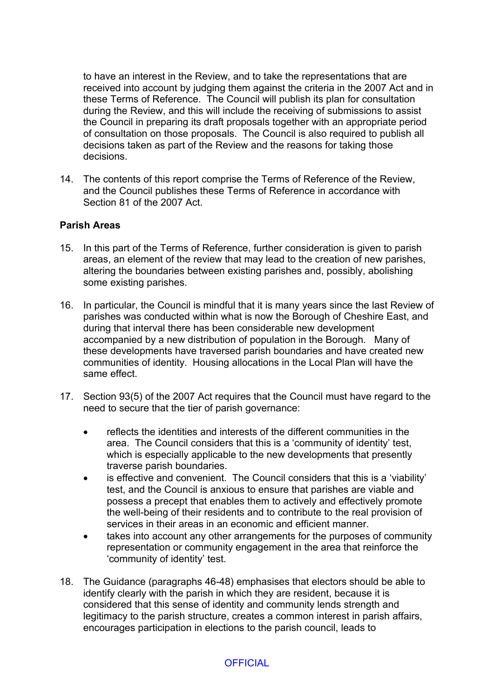to have an interest in the Review, and to take the representations that are received into account by judging them against the criteria in the 2007 Act and in these Terms of Reference. The Council will publish its plan for consultation during the Review, and this will include the receiving of submissions to assist the Council in preparing its draft proposals together with an appropriate period of consultation on those proposals. The Council is also required to publish all decisions taken as part of the Review and the reasons for taking those decisions.

14. The contents of this report comprise the Terms of Reference of the Review, and the Council publishes these Terms of Reference in accordance with Section 81 of the 2007 Act.

### **Parish Areas**

- 15. In this part of the Terms of Reference, further consideration is given to parish areas, an element of the review that may lead to the creation of new parishes, altering the boundaries between existing parishes and, possibly, abolishing some existing parishes.
- 16. In particular, the Council is mindful that it is many years since the last Review of parishes was conducted within what is now the Borough of Cheshire East, and during that interval there has been considerable new development accompanied by a new distribution of population in the Borough. Many of these developments have traversed parish boundaries and have created new communities of identity. Housing allocations in the Local Plan will have the same effect.
- 17. Section 93(5) of the 2007 Act requires that the Council must have regard to the need to secure that the tier of parish governance:
	- reflects the identities and interests of the different communities in the area. The Council considers that this is a 'community of identity' test, which is especially applicable to the new developments that presently traverse parish boundaries.
	- is effective and convenient. The Council considers that this is a 'viability' test, and the Council is anxious to ensure that parishes are viable and possess a precept that enables them to actively and effectively promote the well-being of their residents and to contribute to the real provision of services in their areas in an economic and efficient manner.
	- takes into account any other arrangements for the purposes of community representation or community engagement in the area that reinforce the 'community of identity' test.
- 18. The Guidance (paragraphs 46-48) emphasises that electors should be able to identify clearly with the parish in which they are resident, because it is considered that this sense of identity and community lends strength and legitimacy to the parish structure, creates a common interest in parish affairs, encourages participation in elections to the parish council, leads to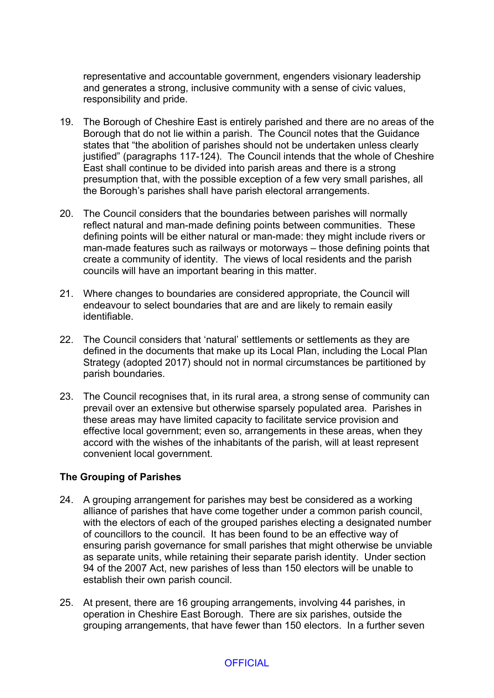representative and accountable government, engenders visionary leadership and generates a strong, inclusive community with a sense of civic values, responsibility and pride.

- 19. The Borough of Cheshire East is entirely parished and there are no areas of the Borough that do not lie within a parish. The Council notes that the Guidance states that "the abolition of parishes should not be undertaken unless clearly justified" (paragraphs 117-124). The Council intends that the whole of Cheshire East shall continue to be divided into parish areas and there is a strong presumption that, with the possible exception of a few very small parishes, all the Borough's parishes shall have parish electoral arrangements.
- 20. The Council considers that the boundaries between parishes will normally reflect natural and man-made defining points between communities. These defining points will be either natural or man-made: they might include rivers or man-made features such as railways or motorways – those defining points that create a community of identity. The views of local residents and the parish councils will have an important bearing in this matter.
- 21. Where changes to boundaries are considered appropriate, the Council will endeavour to select boundaries that are and are likely to remain easily identifiable.
- 22. The Council considers that 'natural' settlements or settlements as they are defined in the documents that make up its Local Plan, including the Local Plan Strategy (adopted 2017) should not in normal circumstances be partitioned by parish boundaries.
- 23. The Council recognises that, in its rural area, a strong sense of community can prevail over an extensive but otherwise sparsely populated area. Parishes in these areas may have limited capacity to facilitate service provision and effective local government; even so, arrangements in these areas, when they accord with the wishes of the inhabitants of the parish, will at least represent convenient local government.

### **The Grouping of Parishes**

- 24. A grouping arrangement for parishes may best be considered as a working alliance of parishes that have come together under a common parish council, with the electors of each of the grouped parishes electing a designated number of councillors to the council. It has been found to be an effective way of ensuring parish governance for small parishes that might otherwise be unviable as separate units, while retaining their separate parish identity. Under section 94 of the 2007 Act, new parishes of less than 150 electors will be unable to establish their own parish council.
- 25. At present, there are 16 grouping arrangements, involving 44 parishes, in operation in Cheshire East Borough. There are six parishes, outside the grouping arrangements, that have fewer than 150 electors. In a further seven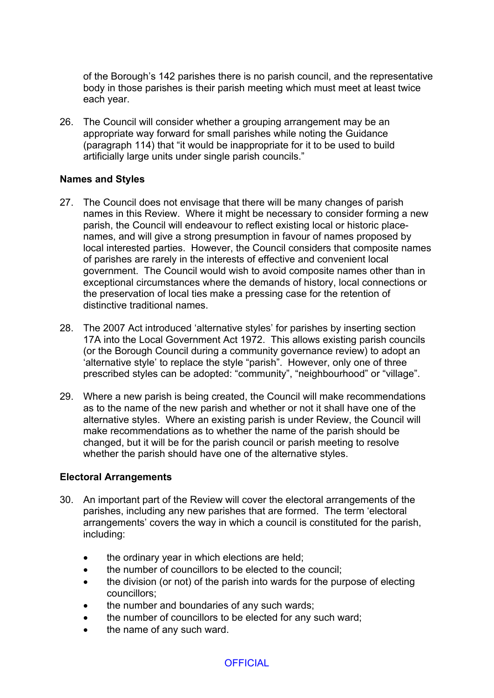of the Borough's 142 parishes there is no parish council, and the representative body in those parishes is their parish meeting which must meet at least twice each year.

26. The Council will consider whether a grouping arrangement may be an appropriate way forward for small parishes while noting the Guidance (paragraph 114) that "it would be inappropriate for it to be used to build artificially large units under single parish councils."

### **Names and Styles**

- 27. The Council does not envisage that there will be many changes of parish names in this Review. Where it might be necessary to consider forming a new parish, the Council will endeavour to reflect existing local or historic placenames, and will give a strong presumption in favour of names proposed by local interested parties. However, the Council considers that composite names of parishes are rarely in the interests of effective and convenient local government. The Council would wish to avoid composite names other than in exceptional circumstances where the demands of history, local connections or the preservation of local ties make a pressing case for the retention of distinctive traditional names.
- 28. The 2007 Act introduced 'alternative styles' for parishes by inserting section 17A into the Local Government Act 1972. This allows existing parish councils (or the Borough Council during a community governance review) to adopt an 'alternative style' to replace the style "parish". However, only one of three prescribed styles can be adopted: "community", "neighbourhood" or "village".
- 29. Where a new parish is being created, the Council will make recommendations as to the name of the new parish and whether or not it shall have one of the alternative styles. Where an existing parish is under Review, the Council will make recommendations as to whether the name of the parish should be changed, but it will be for the parish council or parish meeting to resolve whether the parish should have one of the alternative styles.

### **Electoral Arrangements**

- 30. An important part of the Review will cover the electoral arrangements of the parishes, including any new parishes that are formed. The term 'electoral arrangements' covers the way in which a council is constituted for the parish, including:
	- the ordinary year in which elections are held;
	- the number of councillors to be elected to the council;
	- the division (or not) of the parish into wards for the purpose of electing councillors;
	- the number and boundaries of any such wards;
	- the number of councillors to be elected for any such ward;
	- the name of any such ward.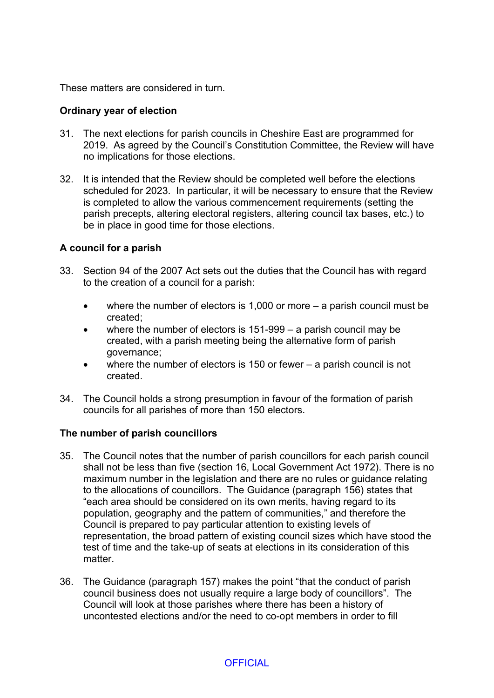These matters are considered in turn.

### **Ordinary year of election**

- 31. The next elections for parish councils in Cheshire East are programmed for 2019. As agreed by the Council's Constitution Committee, the Review will have no implications for those elections.
- 32. It is intended that the Review should be completed well before the elections scheduled for 2023. In particular, it will be necessary to ensure that the Review is completed to allow the various commencement requirements (setting the parish precepts, altering electoral registers, altering council tax bases, etc.) to be in place in good time for those elections.

### **A council for a parish**

- 33. Section 94 of the 2007 Act sets out the duties that the Council has with regard to the creation of a council for a parish:
	- where the number of electors is 1,000 or more a parish council must be created;
	- where the number of electors is 151-999 a parish council may be created, with a parish meeting being the alternative form of parish governance;
	- where the number of electors is 150 or fewer a parish council is not created.
- 34. The Council holds a strong presumption in favour of the formation of parish councils for all parishes of more than 150 electors.

### **The number of parish councillors**

- 35. The Council notes that the number of parish councillors for each parish council shall not be less than five (section 16, Local Government Act 1972). There is no maximum number in the legislation and there are no rules or guidance relating to the allocations of councillors. The Guidance (paragraph 156) states that "each area should be considered on its own merits, having regard to its population, geography and the pattern of communities," and therefore the Council is prepared to pay particular attention to existing levels of representation, the broad pattern of existing council sizes which have stood the test of time and the take-up of seats at elections in its consideration of this matter.
- 36. The Guidance (paragraph 157) makes the point "that the conduct of parish council business does not usually require a large body of councillors". The Council will look at those parishes where there has been a history of uncontested elections and/or the need to co-opt members in order to fill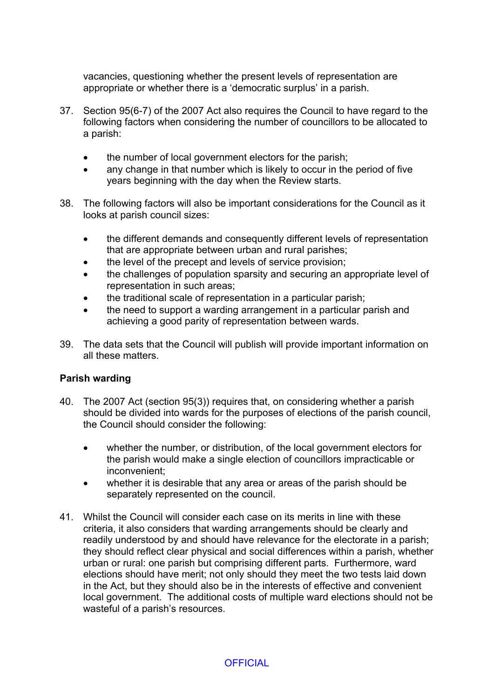vacancies, questioning whether the present levels of representation are appropriate or whether there is a 'democratic surplus' in a parish.

- 37. Section 95(6-7) of the 2007 Act also requires the Council to have regard to the following factors when considering the number of councillors to be allocated to a parish:
	- the number of local government electors for the parish;
	- any change in that number which is likely to occur in the period of five years beginning with the day when the Review starts.
- 38. The following factors will also be important considerations for the Council as it looks at parish council sizes:
	- the different demands and consequently different levels of representation that are appropriate between urban and rural parishes;
	- the level of the precept and levels of service provision;
	- the challenges of population sparsity and securing an appropriate level of representation in such areas;
	- the traditional scale of representation in a particular parish;
	- the need to support a warding arrangement in a particular parish and achieving a good parity of representation between wards.
- 39. The data sets that the Council will publish will provide important information on all these matters.

# **Parish warding**

- 40. The 2007 Act (section 95(3)) requires that, on considering whether a parish should be divided into wards for the purposes of elections of the parish council, the Council should consider the following:
	- whether the number, or distribution, of the local government electors for the parish would make a single election of councillors impracticable or inconvenient;
	- whether it is desirable that any area or areas of the parish should be separately represented on the council.
- 41. Whilst the Council will consider each case on its merits in line with these criteria, it also considers that warding arrangements should be clearly and readily understood by and should have relevance for the electorate in a parish; they should reflect clear physical and social differences within a parish, whether urban or rural: one parish but comprising different parts. Furthermore, ward elections should have merit; not only should they meet the two tests laid down in the Act, but they should also be in the interests of effective and convenient local government. The additional costs of multiple ward elections should not be wasteful of a parish's resources.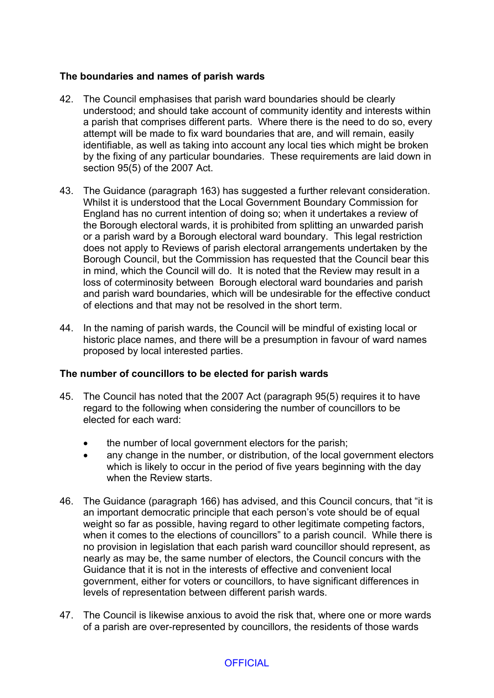### **The boundaries and names of parish wards**

- 42. The Council emphasises that parish ward boundaries should be clearly understood; and should take account of community identity and interests within a parish that comprises different parts. Where there is the need to do so, every attempt will be made to fix ward boundaries that are, and will remain, easily identifiable, as well as taking into account any local ties which might be broken by the fixing of any particular boundaries. These requirements are laid down in section 95(5) of the 2007 Act.
- 43. The Guidance (paragraph 163) has suggested a further relevant consideration. Whilst it is understood that the Local Government Boundary Commission for England has no current intention of doing so; when it undertakes a review of the Borough electoral wards, it is prohibited from splitting an unwarded parish or a parish ward by a Borough electoral ward boundary. This legal restriction does not apply to Reviews of parish electoral arrangements undertaken by the Borough Council, but the Commission has requested that the Council bear this in mind, which the Council will do. It is noted that the Review may result in a loss of coterminosity between Borough electoral ward boundaries and parish and parish ward boundaries, which will be undesirable for the effective conduct of elections and that may not be resolved in the short term.
- 44. In the naming of parish wards, the Council will be mindful of existing local or historic place names, and there will be a presumption in favour of ward names proposed by local interested parties.

### **The number of councillors to be elected for parish wards**

- 45. The Council has noted that the 2007 Act (paragraph 95(5) requires it to have regard to the following when considering the number of councillors to be elected for each ward:
	- the number of local government electors for the parish;
	- any change in the number, or distribution, of the local government electors which is likely to occur in the period of five years beginning with the day when the Review starts.
- 46. The Guidance (paragraph 166) has advised, and this Council concurs, that "it is an important democratic principle that each person's vote should be of equal weight so far as possible, having regard to other legitimate competing factors, when it comes to the elections of councillors" to a parish council. While there is no provision in legislation that each parish ward councillor should represent, as nearly as may be, the same number of electors, the Council concurs with the Guidance that it is not in the interests of effective and convenient local government, either for voters or councillors, to have significant differences in levels of representation between different parish wards.
- 47. The Council is likewise anxious to avoid the risk that, where one or more wards of a parish are over-represented by councillors, the residents of those wards